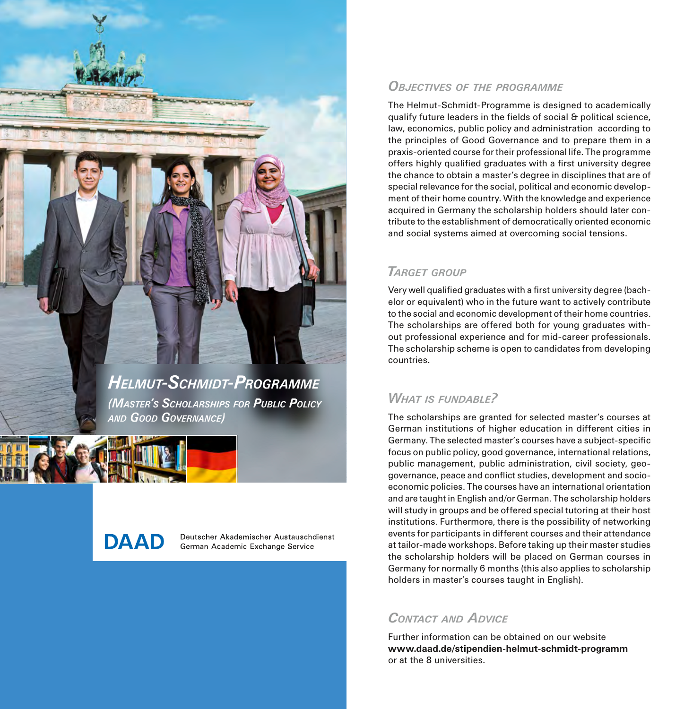

*(Master's Scholarships for Public Policy and Good Governance)* 

**DAAD** 

Deutscher Akademischer Austauschdienst German Academic Exchange Service

# *Objectives of the programme*

The Helmut-Schmidt-Programme is designed to academically qualify future leaders in the fields of social & political science, law, economics, public policy and administration according to the principles of Good Governance and to prepare them in a praxis-oriented course for their professional life. The programme offers highly qualified graduates with a first university degree the chance to obtain a master's degree in disciplines that are of special relevance for the social, political and economic development of their home country. With the knowledge and experience acquired in Germany the scholarship holders should later contribute to the establishment of democratically oriented economic and social systems aimed at overcoming social tensions.

# *Target group*

Very well qualified graduates with a first university degree (bachelor or equivalent) who in the future want to actively contribute to the social and economic development of their home countries. The scholarships are offered both for young graduates without professional experience and for mid-career professionals. The scholarship scheme is open to candidates from developing countries.

# *What is fundable?*

The scholarships are granted for selected master's courses at German institutions of higher education in different cities in Germany. The selected master's courses have a subject-specific focus on public policy, good governance, international relations, public management, public administration, civil society, geogovernance, peace and conflict studies, development and socioeconomic policies. The courses have an international orientation and are taught in English and/or German. The scholarship holders will study in groups and be offered special tutoring at their host institutions. Furthermore, there is the possibility of networking events for participants in different courses and their attendance at tailor-made workshops. Before taking up their master studies the scholarship holders will be placed on German courses in Germany for normally 6 months (this also applies to scholarship holders in master's courses taught in English).

# *Contact and Advice*

Further information can be obtained on our website **www.daad.de/stipendien-helmut-schmidt-programm** or at the 8 universities.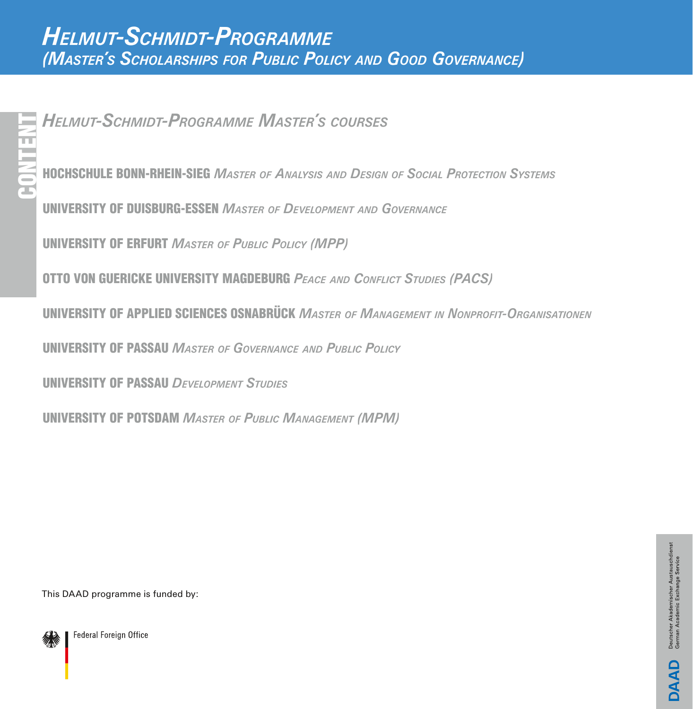<span id="page-1-0"></span>*Helmut-Schmidt-Programme Master's courses*

[HOCHSCHULE BONN-RHEIN-SIEG](#page-2-0) *Master of Analysis and Design of Social Protection Systems*

[UNIVERSITY OF DUISBURG-ESSEN](#page-3-0) *Master of Development andGovernance*

[UNIVERSITY OF ERFURT](#page-4-0) *Master of Public Policy (MPP)*

[OTTO VON GUERICKE UNIVERSITY MAGDEBURG](#page-5-0) *Peace and Conflict Studies (PACS)*

**UNIVERSITY OF APPLIED SCIENCES OSNABRÜCK** MASTER OF MANAGEMENT IN NONPROFIT-ORGANISATIONEN

[UNIVERSITY OF PASSAU](#page-7-0) *Master of Governance and Public Policy*

[UNIVERSITY OF PASSAU](#page-8-0) *Development Studies*

[UNIVERSITY OF POTSDAM](#page-9-0) *Master of Public Management (MPM)*

This DAAD programme is funded by:

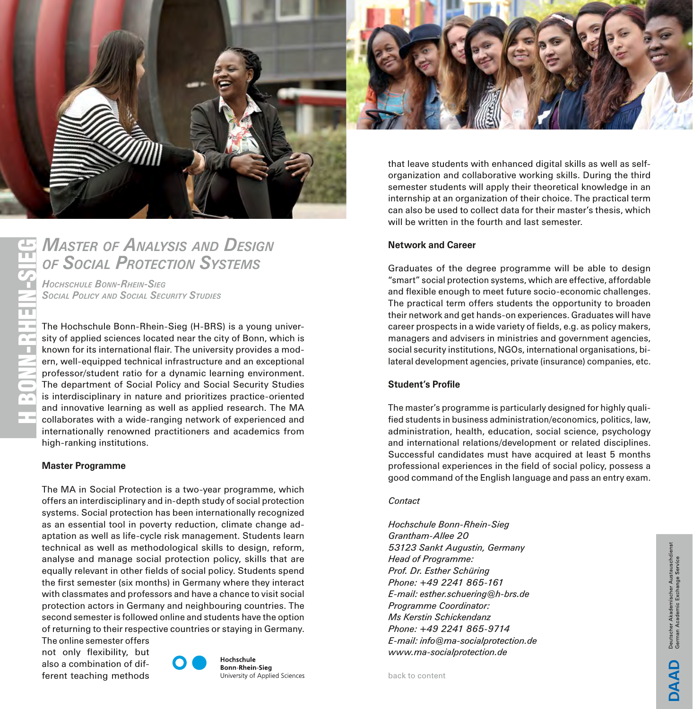<span id="page-2-0"></span>

# *Master of Analysis and Design of Social Protection Systems*

*Hochschule Bonn-Rhein-Sieg Social Policy and Social Security Studies*

The Hochschule Bonn-Rhein-Sieg (H-BRS) is a young university of applied sciences located near the city of Bonn, which is known for its international flair. The university provides a modern, well-equipped technical infrastructure and an exceptional professor/student ratio for a dynamic learning environment. The department of Social Policy and Social Security Studies is interdisciplinary in nature and prioritizes practice-oriented and innovative learning as well as applied research. The MA collaborates with a wide-ranging network of experienced and internationally renowned practitioners and academics from high-ranking institutions.

# **Master Programme**

H BONN-RHEIN-SIEG

**BONN-RHEIN** 

The MA in Social Protection is a two-year programme, which offers an interdisciplinary and in-depth study of social protection systems. Social protection has been internationally recognized as an essential tool in poverty reduction, climate change adaptation as well as life-cycle risk management. Students learn technical as well as methodological skills to design, reform, analyse and manage social protection policy, skills that are equally relevant in other fields of social policy. Students spend the first semester (six months) in Germany where they interact with classmates and professors and have a chance to visit social protection actors in Germany and neighbouring countries. The second semester is followed online and students have the option of returning to their respective countries or staying in Germany.

The online semester offers not only flexibility, but also a combination of different teaching methods



Hochschule **Bonn-Rhein-Sieg** University of Applied Sciences



that leave students with enhanced digital skills as well as selforganization and collaborative working skills. During the third semester students will apply their theoretical knowledge in an internship at an organization of their choice. The practical term can also be used to collect data for their master's thesis, which will be written in the fourth and last semester.

# **Network and Career**

Graduates of the degree programme will be able to design "smart" social protection systems, which are effective, affordable and flexible enough to meet future socio-economic challenges. The practical term offers students the opportunity to broaden their network and get hands-on experiences. Graduates will have career prospects in a wide variety of fields, e.g. as policy makers, managers and advisers in ministries and government agencies, social security institutions, NGOs, international organisations, bilateral development agencies, private (insurance) companies, etc.

# **Student's Profile**

The master's programme is particularly designed for highly qualified students in business administration/economics, politics, law, administration, health, education, social science, psychology and international relations/development or related disciplines. Successful candidates must have acquired at least 5 months professional experiences in the field of social policy, possess a good command of the English language and pass an entry exam.

# *Contact*

*Hochschule Bonn-Rhein-Sieg Grantham-Allee 20 53123 Sankt Augustin, Germany Head of Programme: Prof. Dr. Esther Schüring Phone: +49 2241 865-161 E-mail: esther.schuering@h-brs.de Programme Coordinator: Ms Kerstin Schickendanz Phone: +49 2241 865-9714 E-mail: info@ma-socialprotection.de www.ma-socialprotection.de*

Deutscher Akademischer Austauschdi<br>German Academic Exchange Service **OAAD**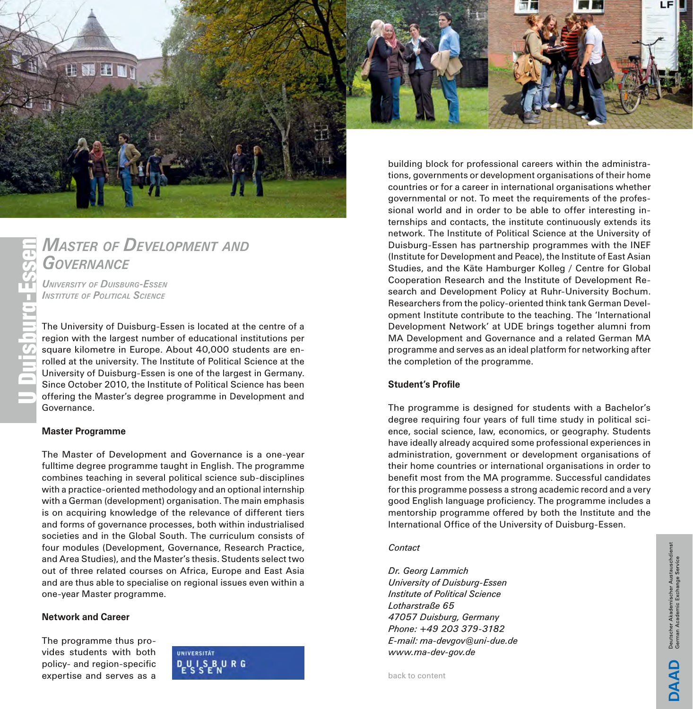<span id="page-3-0"></span>

# *Master of Development and Governance*

*University of Duisburg-Essen Institute of Political Science*

The University of Duisburg-Essen is located at the centre of a region with the largest number of educational institutions per square kilometre in Europe. About 40,000 students are enrolled at the university. The Institute of Political Science at the University of Duisburg-Essen is one of the largest in Germany. Since October 2010, the Institute of Political Science has been offering the Master's degree programme in Development and Governance.

# **Master Programme**

The Master of Development and Governance is a one-year fulltime degree programme taught in English. The programme combines teaching in several political science sub-disciplines with a practice-oriented methodology and an optional internship with a German (development) organisation. The main emphasis is on acquiring knowledge of the relevance of different tiers and forms of governance processes, both within industrialised societies and in the Global South. The curriculum consists of four modules (Development, Governance, Research Practice, and Area Studies), and the Master's thesis. Students select two out of three related courses on Africa, Europe and East Asia and are thus able to specialise on regional issues even within a one-year Master programme.

# **Network and Career**

The programme thus provides students with both policy- and region-specific expertise and serves as a



tions, governments or development organisations of their home countries or for a career in international organisations whether governmental or not. To meet the requirements of the professional world and in order to be able to offer interesting internships and contacts, the institute continuously extends its network. The Institute of Political Science at the University of Duisburg-Essen has partnership programmes with the INEF (Institute for Development and Peace), the Institute of East Asian Studies, and the Käte Hamburger Kolleg / Centre for Global Cooperation Research and the Institute of Development Research and Development Policy at Ruhr-University Bochum. Researchers from the policy-oriented think tank German Development Institute contribute to the teaching. The 'International Development Network' at UDE brings together alumni from MA Development and Governance and a related German MA programme and serves as an ideal platform for networking after the completion of the programme.

# **Student's Profile**

The programme is designed for students with a Bachelor's degree requiring four years of full time study in political science, social science, law, economics, or geography. Students have ideally already acquired some professional experiences in administration, government or development organisations of their home countries or international organisations in order to benefit most from the MA programme. Successful candidates for this programme possess a strong academic record and a very good English language proficiency. The programme includes a mentorship programme offered by both the Institute and the International Office of the University of Duisburg-Essen.

# *Contact*

*Dr. Georg Lammich University of Duisburg-Essen Institute of Political Science Lotharstraße 65 47057 Duisburg, Germany Phone: +49 203 379-3182 E-mail: ma-devgov@uni-due.de www.ma-dev-gov.de*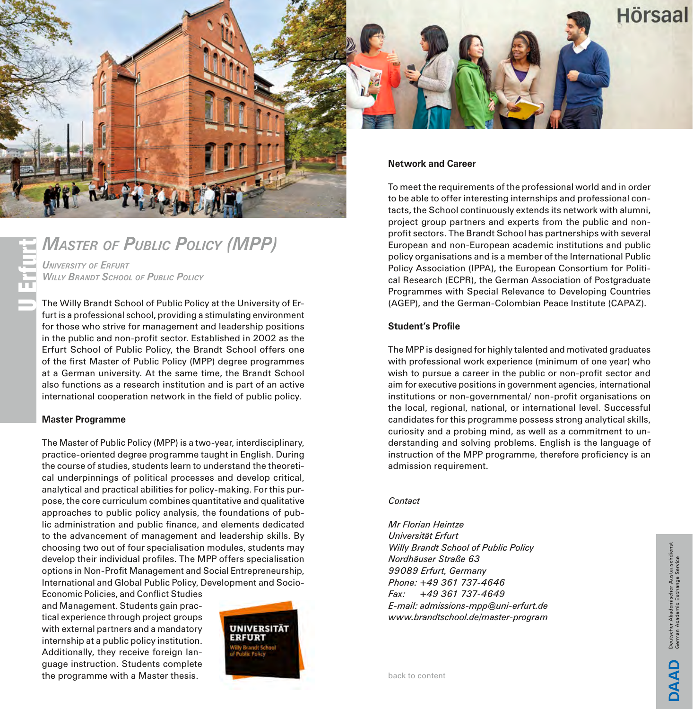<span id="page-4-0"></span>

# *Master of Public Policy (MPP) University of Erfurt* U Erfurt

*Willy Brandt School of Public Policy*

The Willy Brandt School of Public Policy at the University of Erfurt is a professional school, providing a stimulating environment for those who strive for management and leadership positions in the public and non-profit sector. Established in 2002 as the Erfurt School of Public Policy, the Brandt School offers one of the first Master of Public Policy (MPP) degree programmes at a German university. At the same time, the Brandt School also functions as a research institution and is part of an active international cooperation network in the field of public policy.

# **Master Programme**

The Master of Public Policy (MPP) is a two-year, interdisciplinary, practice-oriented degree programme taught in English. During the course of studies, students learn to understand the theoretical underpinnings of political processes and develop critical, analytical and practical abilities for policy-making. For this purpose, the core curriculum combines quantitative and qualitative approaches to public policy analysis, the foundations of public administration and public finance, and elements dedicated to the advancement of management and leadership skills. By choosing two out of four specialisation modules, students may develop their individual profiles. The MPP offers specialisation options in Non-Profit Management and Social Entrepreneurship, International and Global Public Policy, Development and Socio-

Economic Policies, and Conflict Studies and Management. Students gain practical experience through project groups with external partners and a mandatory internship at a public policy institution. Additionally, they receive foreign language instruction. Students complete the programme with a Master thesis.



to be able to offer interesting internships and professional contacts, the School continuously extends its network with alumni, project group partners and experts from the public and nonprofit sectors. The Brandt School has partnerships with several European and non-European academic institutions and public policy organisations and is a member of the International Public Policy Association (IPPA), the European Consortium for Political Research (ECPR), the German Association of Postgraduate Programmes with Special Relevance to Developing Countries (AGEP), and the German-Colombian Peace Institute (CAPAZ).

# **Student's Profile**

The MPP is designed for highly talented and motivated graduates with professional work experience (minimum of one year) who wish to pursue a career in the public or non-profit sector and aim for executive positions in government agencies, international institutions or non-governmental/ non-profit organisations on the local, regional, national, or international level. Successful candidates for this programme possess strong analytical skills, curiosity and a probing mind, as well as a commitment to understanding and solving problems. English is the language of instruction of the MPP programme, therefore proficiency is an admission requirement.

# *Contact*

*Mr Florian Heintze Universität Erfurt Willy Brandt School of Public Policy Nordhäuser Straße 63 99089 Erfurt, Germany Phone: +49 361 737-4646 Fax: +49 361 737-4649 E-mail: admissions-mpp@uni-erfurt.de www.brandtschool.de/master-program*

Deutscher Akademischer Austauscher<br>German Academic Exchange Service **OAAD**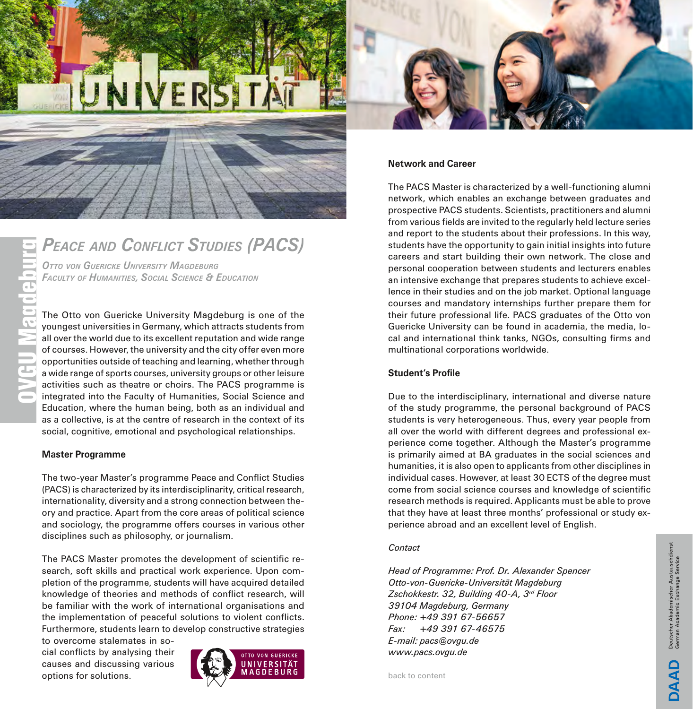# <span id="page-5-0"></span>**JIVERSITAT**

# *Peace and Conflict Studies (PACS)*

*Otto von Guericke University Magdeburg Faculty of Humanities, Social Science & Education*

The Otto von Guericke University Magdeburg is one of the youngest universities in Germany, which attracts students from all over the world due to its excellent reputation and wide range of courses. However, the university and the city offer even more opportunities outside of teaching and learning, whether through a wide range of sports courses, university groups or other leisure activities such as theatre or choirs. The PACS programme is integrated into the Faculty of Humanities, Social Science and Education, where the human being, both as an individual and as a collective, is at the centre of research in the context of its social, cognitive, emotional and psychological relationships.

# **Master Programme**

The two-year Master's programme Peace and Conflict Studies (PACS) is characterized by its interdisciplinarity, critical research, internationality, diversity and a strong connection between theory and practice. Apart from the core areas of political science and sociology, the programme offers courses in various other disciplines such as philosophy, or journalism.

The PACS Master promotes the development of scientific research, soft skills and practical work experience. Upon completion of the programme, students will have acquired detailed knowledge of theories and methods of conflict research, will be familiar with the work of international organisations and the implementation of peaceful solutions to violent conflicts. Furthermore, students learn to develop constructive strategies

to overcome stalemates in social conflicts by analysing their causes and discussing various options for solutions.



# **Network and Career**

The PACS Master is characterized by a well-functioning alumni network, which enables an exchange between graduates and prospective PACS students. Scientists, practitioners and alumni from various fields are invited to the regularly held lecture series and report to the students about their professions. In this way, students have the opportunity to gain initial insights into future careers and start building their own network. The close and personal cooperation between students and lecturers enables an intensive exchange that prepares students to achieve excellence in their studies and on the job market. Optional language courses and mandatory internships further prepare them for their future professional life. PACS graduates of the Otto von Guericke University can be found in academia, the media, local and international think tanks, NGOs, consulting firms and multinational corporations worldwide.

### **Student's Profile**

Due to the interdisciplinary, international and diverse nature of the study programme, the personal background of PACS students is very heterogeneous. Thus, every year people from all over the world with different degrees and professional experience come together. Although the Master's programme is primarily aimed at BA graduates in the social sciences and humanities, it is also open to applicants from other disciplines in individual cases. However, at least 30 ECTS of the degree must come from social science courses and knowledge of scientific research methods is required. Applicants must be able to prove that they have at least three months' professional or study experience abroad and an excellent level of English.

# *Contact*

*Head of Programme: Prof. Dr. Alexander Spencer Otto-von-Guericke-Universität Magdeburg Zschokkestr. 32, Building 40-A, 3rd Floor 39104 Magdeburg, Germany Phone: +49 391 67-56657 Fax: +49 391 67-46575 E-mail: pacs@ovgu.de www.pacs.ovgu.de*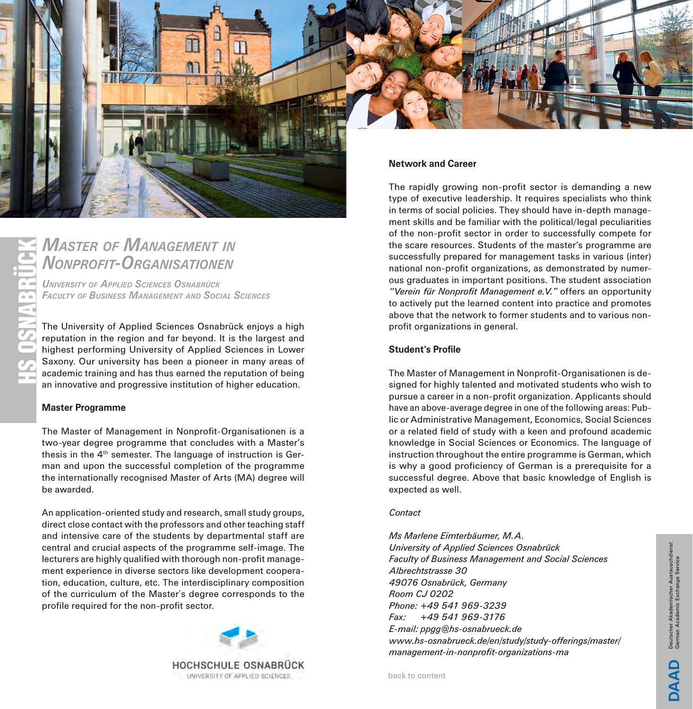<span id="page-6-0"></span>

# *Master of Management in Nonprofit-Organisationen*

*University of Applied Sciences Osnabrück Faculty of Business Management and Social Sciences*

*IEN<br>TIO<br><sub>ABRÜ</sub><br>ND S<br>Sosyone*<br>Appli The University of Applied Sciences Osnabrück enjoys a high reputation in the region and far beyond. It is the largest and highest performing University of Applied Sciences in Lower Saxony. Our university has been a pioneer in many areas of academic training and has thus earned the reputation of being an innovative and progressive institution of higher education.

# **Master Programme**

The Master of Management in Nonprofit-Organisationen is a two-year degree programme that concludes with a Master's thesis in the  $4<sup>th</sup>$  semester. The language of instruction is German and upon the successful completion of the programme the internationally recognised Master of Arts (MA) degree will be awarded.

An application-oriented study and research, small study groups, direct close contact with the professors and other teaching staff and intensive care of the students by departmental staff are central and crucial aspects of the programme self-image. The lecturers are highly qualified with thorough non-profit management experience in diverse sectors like development cooperation, education, culture, etc. The interdisciplinary composition of the curriculum of the Master´s degree corresponds to the profile required for the non-profit sector.



type of executive leadership. It requires specialists who think in terms of social policies. They should have in-depth management skills and be familiar with the political/legal peculiarities of the non-profit sector in order to successfully compete for the scare resources. Students of the master's programme are successfully prepared for management tasks in various (inter) national non-profit organizations, as demonstrated by numerous graduates in important positions. The student association *"Verein für Nonprofit Management e.V."* offers an opportunity to actively put the learned content into practice and promotes above that the network to former students and to various nonprofit organizations in general.

# **Student's Profile**

The Master of Management in Nonprofit-Organisationen is designed for highly talented and motivated students who wish to pursue a career in a non-profit organization. Applicants should have an above-average degree in one of the following areas: Public or Administrative Management, Economics, Social Sciences or a related field of study with a keen and profound academic knowledge in Social Sciences or Economics. The language of instruction throughout the entire programme is German, which is why a good proficiency of German is a prerequisite for a successful degree. Above that basic knowledge of English is expected as well.

### *Contact*

*Ms Marlene Eimterbäumer, M.A. University of Applied Sciences Osnabrück Faculty of Business Management and Social Sciences Albrechtstrasse 30 49076 Osnabrück, Germany Room CJ 0202 Phone: +49 541 969-3239 Fax: +49 541 969-3176 E-mail: ppgg@hs-osnabrueck.de www.hs-osnabrueck.de/en/study/study-offerings/master/ management-in-nonprofit-organizations-ma*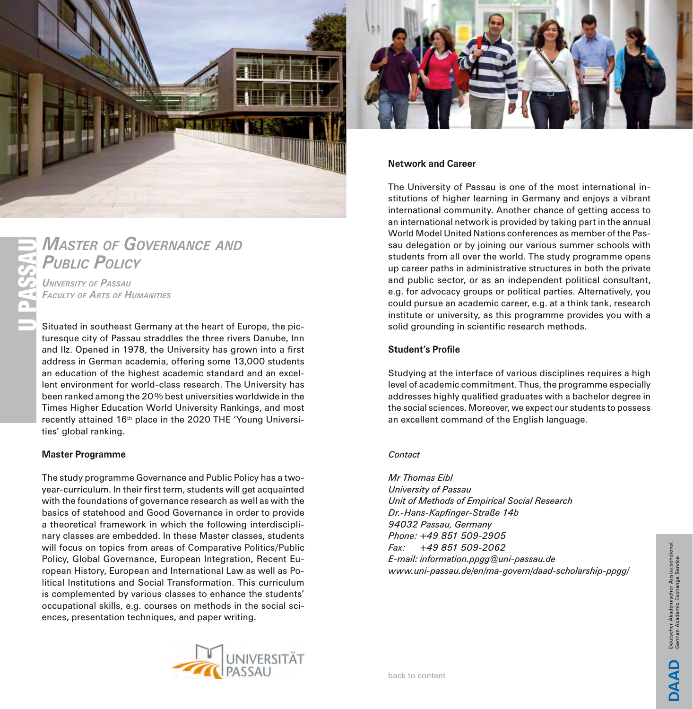<span id="page-7-0"></span>

# **MASTER OF GOVERNANCE AND PUBLIC POLICY**

*University of Passau Faculty of Arts of Humanities*

Situated in southeast Germany at the heart of Europe, the picturesque city of Passau straddles the three rivers Danube, Inn and Ilz. Opened in 1978, the University has grown into a first address in German academia, offering some 13,000 students an education of the highest academic standard and an excellent environment for world-class research. The University has been ranked among the 20% best universities worldwide in the Times Higher Education World University Rankings, and most recently attained 16<sup>th</sup> place in the 2020 THE 'Young Universities' global ranking.

# **Master Programme**

The study programme Governance and Public Policy has a twoyear-curriculum. In their first term, students will get acquainted with the foundations of governance research as well as with the basics of statehood and Good Governance in order to provide a theoretical framework in which the following interdisciplinary classes are embedded. In these Master classes, students will focus on topics from areas of Comparative Politics/Public Policy, Global Governance, European Integration, Recent European History, European and International Law as well as Political Institutions and Social Transformation. This curriculum is complemented by various classes to enhance the students' occupational skills, e.g. courses on methods in the social sciences, presentation techniques, and paper writing.





# **Network and Career**

The University of Passau is one of the most international institutions of higher learning in Germany and enjoys a vibrant international community. Another chance of getting access to an international network is provided by taking part in the annual World Model United Nations conferences as member of the Passau delegation or by joining our various summer schools with students from all over the world. The study programme opens up career paths in administrative structures in both the private and public sector, or as an independent political consultant, e.g. for advocacy groups or political parties. Alternatively, you could pursue an academic career, e.g. at a think tank, research institute or university, as this programme provides you with a solid grounding in scientific research methods.

# **Student's Profile**

Studying at the interface of various disciplines requires a high level of academic commitment. Thus, the programme especially addresses highly qualified graduates with a bachelor degree in the social sciences. Moreover, we expect our students to possess an excellent command of the English language.

### *Contact*

*Mr Thomas Eibl University of Passau Unit of Methods of Empirical Social Research Dr.-Hans-Kapfinger-Straße 14b 94032 Passau, Germany Phone: +49 851 509-2905 Fax: +49 851 509-2062 E-mail: information.ppgg@uni-passau.de www.uni-passau.de/en/ma-govern/daad-scholarship-ppgg/*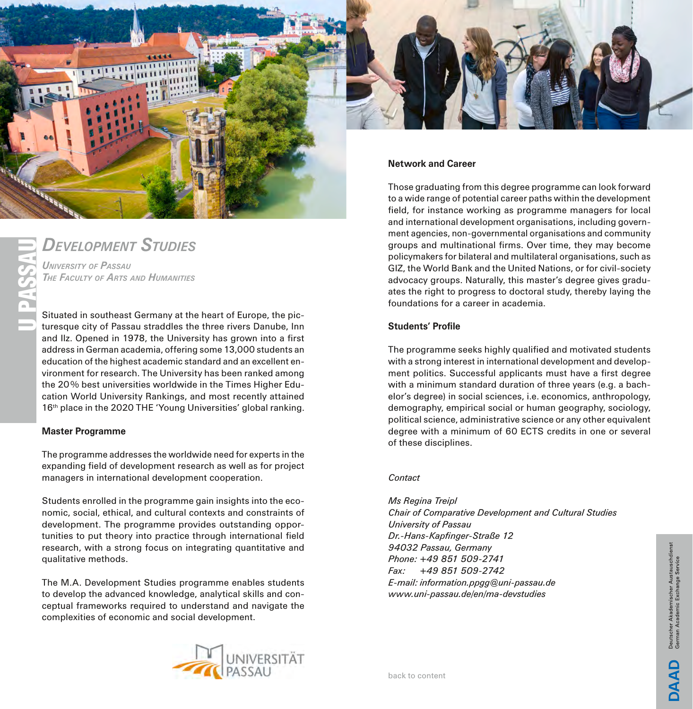<span id="page-8-0"></span>

# *Development Studies*

*University of Passau The Faculty of Arts and Humanities*

Situated in southeast Germany at the heart of Europe, the picturesque city of Passau straddles the three rivers Danube, Inn and Ilz. Opened in 1978, the University has grown into a first address in German academia, offering some 13,000 students an education of the highest academic standard and an excellent environment for research. The University has been ranked among the 20% best universities worldwide in the Times Higher Education World University Rankings, and most recently attained 16<sup>th</sup> place in the 2020 THE 'Young Universities' global ranking.

## **Master Programme**

The programme addresses the worldwide need for experts in the expanding field of development research as well as for project managers in international development cooperation.

Students enrolled in the programme gain insights into the economic, social, ethical, and cultural contexts and constraints of development. The programme provides outstanding opportunities to put theory into practice through international field research, with a strong focus on integrating quantitative and qualitative methods.

The M.A. Development Studies programme enables students to develop the advanced knowledge, analytical skills and conceptual frameworks required to understand and navigate the complexities of economic and social development.



field, for instance working as programme managers for local and international development organisations, including government agencies, non-governmental organisations and community groups and multinational firms. Over time, they may become policymakers for bilateral and multilateral organisations, such as GIZ, the World Bank and the United Nations, or for civil-society advocacy groups. Naturally, this master's degree gives graduates the right to progress to doctoral study, thereby laying the foundations for a career in academia.

# **Students' Profile**

The programme seeks highly qualified and motivated students with a strong interest in international development and development politics. Successful applicants must have a first degree with a minimum standard duration of three years (e.g. a bachelor's degree) in social sciences, i.e. economics, anthropology, demography, empirical social or human geography, sociology, political science, administrative science or any other equivalent degree with a minimum of 60 ECTS credits in one or several of these disciplines.

# *Contact*

*Ms Regina Treipl Chair of Comparative Development and Cultural Studies University of Passau Dr.-Hans-Kapfinger-Straße 12 94032 Passau, Germany Phone: +49 851 509-2741 Fax: +49 851 509-2742 E-mail: information.ppgg@uni-passau.de www.uni-passau.de/en/ma-devstudies*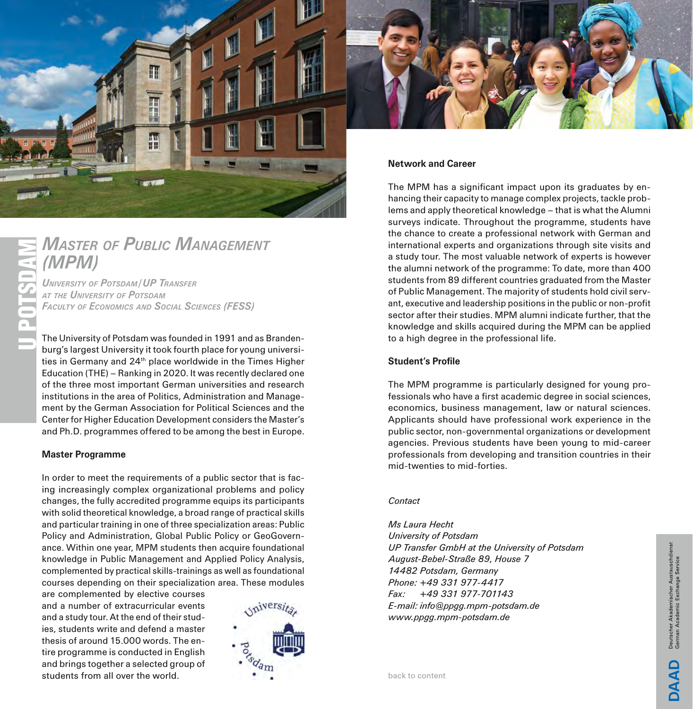<span id="page-9-0"></span>

# *(MPM)*

**MASTER OF PUBLIC MANAGEMENT**<br>
(**MPM**)<br>
UNIVERSITY OF POTSDAM/UP TRANSFER<br>
AT THE UNIVERSITY OF POTSDAM<br>
FACULTY OF ECONOMICS AND SOCIAL SCIENCES (FESS)<br>
The University of Potsdam was founded in 1991 and as the University *University of Potsdam / UP Transfer at the University of Potsdam Faculty of Economics and Social Sciences (FESS)*

The University of Potsdam was founded in 1991 and as Brandenburg's largest University it took fourth place for young universities in Germany and 24<sup>th</sup> place worldwide in the Times Higher Education (THE) – Ranking in 2020. It was recently declared one of the three most important German universities and research institutions in the area of Politics, Administration and Management by the German Association for Political Sciences and the Center for Higher Education Development considers the Master's and Ph.D. programmes offered to be among the best in Europe.

### **Master Programme**

In order to meet the requirements of a public sector that is facing increasingly complex organizational problems and policy changes, the fully accredited programme equips its participants with solid theoretical knowledge, a broad range of practical skills and particular training in one of three specialization areas: Public Policy and Administration, Global Public Policy or GeoGovernance. Within one year, MPM students then acquire foundational knowledge in Public Management and Applied Policy Analysis, complemented by practical skills-trainings as well as foundational courses depending on their specialization area. These modules

are complemented by elective courses and a number of extracurricular events and a study tour. At the end of their studies, students write and defend a master thesis of around 15.000 words. The entire programme is conducted in English and brings together a selected group of students from all over the world.





# **Network and Career**

The MPM has a significant impact upon its graduates by enhancing their capacity to manage complex projects, tackle problems and apply theoretical knowledge – that is what the Alumni surveys indicate. Throughout the programme, students have the chance to create a professional network with German and international experts and organizations through site visits and a study tour. The most valuable network of experts is however the alumni network of the programme: To date, more than 400 students from 89 different countries graduated from the Master of Public Management. The majority of students hold civil servant, executive and leadership positions in the public or non-profit sector after their studies. MPM alumni indicate further, that the knowledge and skills acquired during the MPM can be applied to a high degree in the professional life.

# **Student's Profile**

The MPM programme is particularly designed for young professionals who have a first academic degree in social sciences, economics, business management, law or natural sciences. Applicants should have professional work experience in the public sector, non-governmental organizations or development agencies. Previous students have been young to mid-career professionals from developing and transition countries in their mid-twenties to mid-forties.

# *Contact*

*Ms Laura Hecht University of Potsdam UP Transfer GmbH at the University of Potsdam August-Bebel-Straße 89, House 7 14482 Potsdam, Germany Phone: +49 331 977-4417 Fax: +49 331 977-701143 E-mail: info@ppgg.mpm-potsdam.de www.ppgg.mpm-potsdam.de*